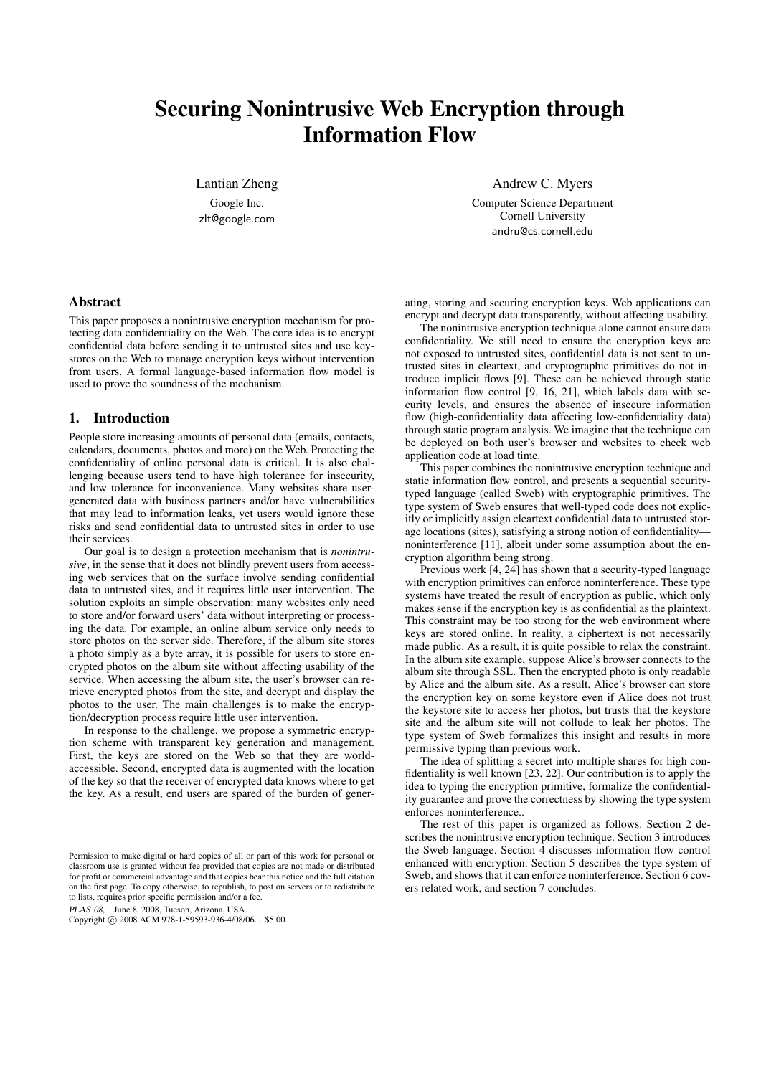# Securing Nonintrusive Web Encryption through Information Flow

Lantian Zheng

Google Inc. zlt@google.com Andrew C. Myers

Computer Science Department Cornell University andru@cs.cornell.edu

# Abstract

This paper proposes a nonintrusive encryption mechanism for protecting data confidentiality on the Web. The core idea is to encrypt confidential data before sending it to untrusted sites and use keystores on the Web to manage encryption keys without intervention from users. A formal language-based information flow model is used to prove the soundness of the mechanism.

## 1. Introduction

People store increasing amounts of personal data (emails, contacts, calendars, documents, photos and more) on the Web. Protecting the confidentiality of online personal data is critical. It is also challenging because users tend to have high tolerance for insecurity, and low tolerance for inconvenience. Many websites share usergenerated data with business partners and/or have vulnerabilities that may lead to information leaks, yet users would ignore these risks and send confidential data to untrusted sites in order to use their services.

Our goal is to design a protection mechanism that is *nonintrusive*, in the sense that it does not blindly prevent users from accessing web services that on the surface involve sending confidential data to untrusted sites, and it requires little user intervention. The solution exploits an simple observation: many websites only need to store and/or forward users' data without interpreting or processing the data. For example, an online album service only needs to store photos on the server side. Therefore, if the album site stores a photo simply as a byte array, it is possible for users to store encrypted photos on the album site without affecting usability of the service. When accessing the album site, the user's browser can retrieve encrypted photos from the site, and decrypt and display the photos to the user. The main challenges is to make the encryption/decryption process require little user intervention.

In response to the challenge, we propose a symmetric encryption scheme with transparent key generation and management. First, the keys are stored on the Web so that they are worldaccessible. Second, encrypted data is augmented with the location of the key so that the receiver of encrypted data knows where to get the key. As a result, end users are spared of the burden of gener-

PLAS'08, June 8, 2008, Tucson, Arizona, USA.

Copyright © 2008 ACM 978-1-59593-936-4/08/06... \$5.00.

ating, storing and securing encryption keys. Web applications can encrypt and decrypt data transparently, without affecting usability.

The nonintrusive encryption technique alone cannot ensure data confidentiality. We still need to ensure the encryption keys are not exposed to untrusted sites, confidential data is not sent to untrusted sites in cleartext, and cryptographic primitives do not introduce implicit flows [9]. These can be achieved through static information flow control [9, 16, 21], which labels data with security levels, and ensures the absence of insecure information flow (high-confidentiality data affecting low-confidentiality data) through static program analysis. We imagine that the technique can be deployed on both user's browser and websites to check web application code at load time.

This paper combines the nonintrusive encryption technique and static information flow control, and presents a sequential securitytyped language (called Sweb) with cryptographic primitives. The type system of Sweb ensures that well-typed code does not explicitly or implicitly assign cleartext confidential data to untrusted storage locations (sites), satisfying a strong notion of confidentiality noninterference [11], albeit under some assumption about the encryption algorithm being strong.

Previous work [4, 24] has shown that a security-typed language with encryption primitives can enforce noninterference. These type systems have treated the result of encryption as public, which only makes sense if the encryption key is as confidential as the plaintext. This constraint may be too strong for the web environment where keys are stored online. In reality, a ciphertext is not necessarily made public. As a result, it is quite possible to relax the constraint. In the album site example, suppose Alice's browser connects to the album site through SSL. Then the encrypted photo is only readable by Alice and the album site. As a result, Alice's browser can store the encryption key on some keystore even if Alice does not trust the keystore site to access her photos, but trusts that the keystore site and the album site will not collude to leak her photos. The type system of Sweb formalizes this insight and results in more permissive typing than previous work.

The idea of splitting a secret into multiple shares for high confidentiality is well known [23, 22]. Our contribution is to apply the idea to typing the encryption primitive, formalize the confidentiality guarantee and prove the correctness by showing the type system enforces noninterference..

The rest of this paper is organized as follows. Section 2 describes the nonintrusive encryption technique. Section 3 introduces the Sweb language. Section 4 discusses information flow control enhanced with encryption. Section 5 describes the type system of Sweb, and shows that it can enforce noninterference. Section 6 covers related work, and section 7 concludes.

Permission to make digital or hard copies of all or part of this work for personal or classroom use is granted without fee provided that copies are not made or distributed for profit or commercial advantage and that copies bear this notice and the full citation on the first page. To copy otherwise, to republish, to post on servers or to redistribute to lists, requires prior specific permission and/or a fee.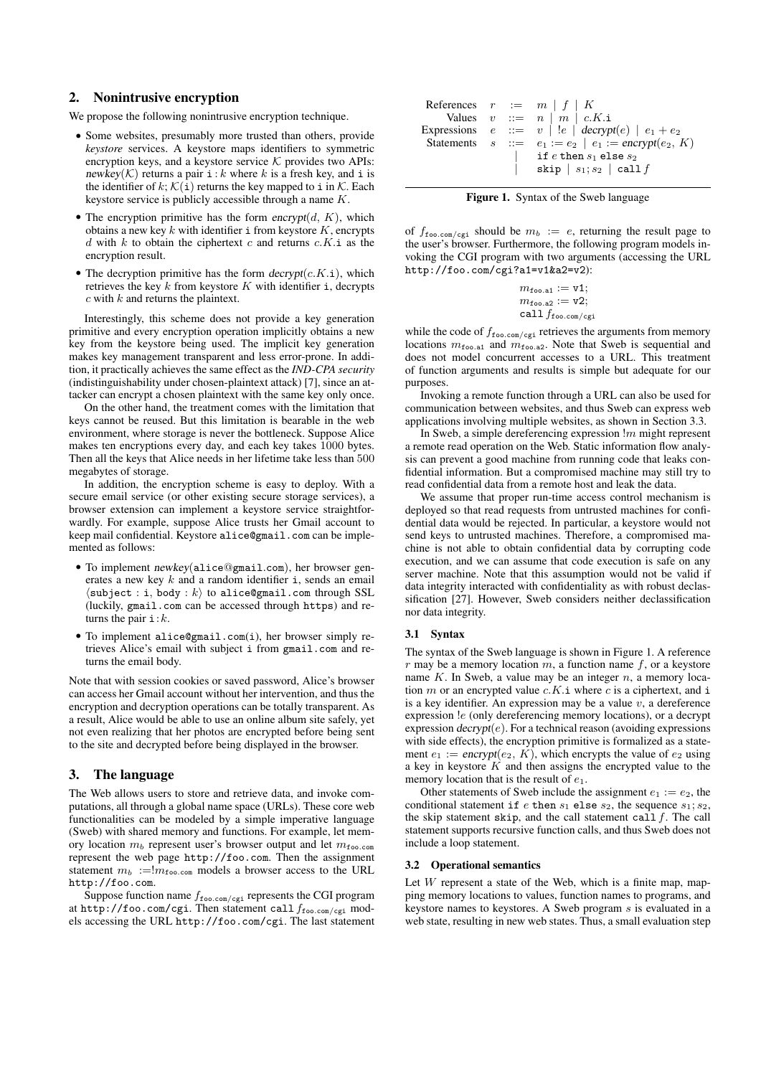## 2. Nonintrusive encryption

We propose the following nonintrusive encryption technique.

- Some websites, presumably more trusted than others, provide *keystore* services. A keystore maps identifiers to symmetric encryption keys, and a keystore service  $K$  provides two APIs: newkey(K) returns a pair  $i : k$  where k is a fresh key, and i is the identifier of k;  $\mathcal{K}(\mathbf{i})$  returns the key mapped to i in  $\mathcal{K}$ . Each keystore service is publicly accessible through a name K.
- The encryption primitive has the form encrypt $(d, K)$ , which obtains a new key  $k$  with identifier i from keystore  $K$ , encrypts  $d$  with  $k$  to obtain the ciphertext  $c$  and returns  $c.K.i$  as the encryption result.
- The decryption primitive has the form  $decrypt(c.K.i)$ , which retrieves the key  $k$  from keystore  $K$  with identifier i, decrypts  $c$  with  $k$  and returns the plaintext.

Interestingly, this scheme does not provide a key generation primitive and every encryption operation implicitly obtains a new key from the keystore being used. The implicit key generation makes key management transparent and less error-prone. In addition, it practically achieves the same effect as the *IND-CPA security* (indistinguishability under chosen-plaintext attack) [7], since an attacker can encrypt a chosen plaintext with the same key only once.

On the other hand, the treatment comes with the limitation that keys cannot be reused. But this limitation is bearable in the web environment, where storage is never the bottleneck. Suppose Alice makes ten encryptions every day, and each key takes 1000 bytes. Then all the keys that Alice needs in her lifetime take less than 500 megabytes of storage.

In addition, the encryption scheme is easy to deploy. With a secure email service (or other existing secure storage services), a browser extension can implement a keystore service straightforwardly. For example, suppose Alice trusts her Gmail account to keep mail confidential. Keystore alice@gmail.com can be implemented as follows:

- To implement newkey(alice@gmail.com), her browser generates a new key  $k$  and a random identifier i, sends an email  $\langle \texttt{subject}: \texttt{i}, \texttt{body}: k \rangle$  to alice@gmail.com through SSL (luckily, gmail.com can be accessed through https) and returns the pair  $i:k$ .
- To implement alice@gmail.com(i), her browser simply retrieves Alice's email with subject i from gmail.com and returns the email body.

Note that with session cookies or saved password, Alice's browser can access her Gmail account without her intervention, and thus the encryption and decryption operations can be totally transparent. As a result, Alice would be able to use an online album site safely, yet not even realizing that her photos are encrypted before being sent to the site and decrypted before being displayed in the browser.

# 3. The language

The Web allows users to store and retrieve data, and invoke computations, all through a global name space (URLs). These core web functionalities can be modeled by a simple imperative language (Sweb) with shared memory and functions. For example, let memory location  $m_b$  represent user's browser output and let  $m_{\text{foo.com}}$ represent the web page http://foo.com. Then the assignment statement  $m_b := m_{\text{foo.com}}$  models a browser access to the URL http://foo.com.

Suppose function name  $f_{\text{foo.com}/\text{cgi}}$  represents the CGI program at http://foo.com/cgi. Then statement call  $f_{\text{foo.com/cgi}}$  models accessing the URL http://foo.com/cgi. The last statement

|  | References $r := m   f   K$                                      |
|--|------------------------------------------------------------------|
|  | Values $v ::= n   m   c.K.i$                                     |
|  | Expressions $e ::= v   le   decryption(e)   e_1 + e_2$           |
|  | Statements $s ::= e_1 := e_2 \mid e_1 := \text{encrypt}(e_2, K)$ |
|  | if $e$ then $s_1$ else $s_2$                                     |
|  | skip $ s_1; s_2 $ call f                                         |



of  $f_{\text{foo.com/cgi}}$  should be  $m_b := e$ , returning the result page to the user's browser. Furthermore, the following program models invoking the CGI program with two arguments (accessing the URL http://foo.com/cgi?a1=v1&a2=v2):

$$
m_{\text{foo.a1}} := \mathtt{v1};
$$
  

$$
m_{\text{foo.a2}} := \mathtt{v2};
$$
  

$$
\mathtt{call} f_{\text{foo.com/cgi}}
$$

while the code of  $f_{\text{foo.com/cgi}}$  retrieves the arguments from memory locations  $m_{\text{foo.a1}}$  and  $m_{\text{foo.a2}}$ . Note that Sweb is sequential and does not model concurrent accesses to a URL. This treatment of function arguments and results is simple but adequate for our purposes.

Invoking a remote function through a URL can also be used for communication between websites, and thus Sweb can express web applications involving multiple websites, as shown in Section 3.3.

In Sweb, a simple dereferencing expression  $\mathfrak{m}$  might represent a remote read operation on the Web. Static information flow analysis can prevent a good machine from running code that leaks confidential information. But a compromised machine may still try to read confidential data from a remote host and leak the data.

We assume that proper run-time access control mechanism is deployed so that read requests from untrusted machines for confidential data would be rejected. In particular, a keystore would not send keys to untrusted machines. Therefore, a compromised machine is not able to obtain confidential data by corrupting code execution, and we can assume that code execution is safe on any server machine. Note that this assumption would not be valid if data integrity interacted with confidentiality as with robust declassification [27]. However, Sweb considers neither declassification nor data integrity.

#### 3.1 Syntax

The syntax of the Sweb language is shown in Figure 1. A reference  $r$  may be a memory location  $m$ , a function name  $f$ , or a keystore name  $K$ . In Sweb, a value may be an integer  $n$ , a memory location  $m$  or an encrypted value  $c.K.i$  where  $c$  is a ciphertext, and i is a key identifier. An expression may be a value  $v$ , a dereference expression !e (only dereferencing memory locations), or a decrypt expression  $decrypt(e)$ . For a technical reason (avoiding expressions with side effects), the encryption primitive is formalized as a statement  $e_1 := \text{encrypt}(e_2, K)$ , which encrypts the value of  $e_2$  using a key in keystore  $K$  and then assigns the encrypted value to the memory location that is the result of  $e_1$ .

Other statements of Sweb include the assignment  $e_1 := e_2$ , the conditional statement if e then  $s_1$  else  $s_2$ , the sequence  $s_1$ ;  $s_2$ , the skip statement skip, and the call statement call  $f$ . The call statement supports recursive function calls, and thus Sweb does not include a loop statement.

# 3.2 Operational semantics

Let  $W$  represent a state of the Web, which is a finite map, mapping memory locations to values, function names to programs, and keystore names to keystores. A Sweb program s is evaluated in a web state, resulting in new web states. Thus, a small evaluation step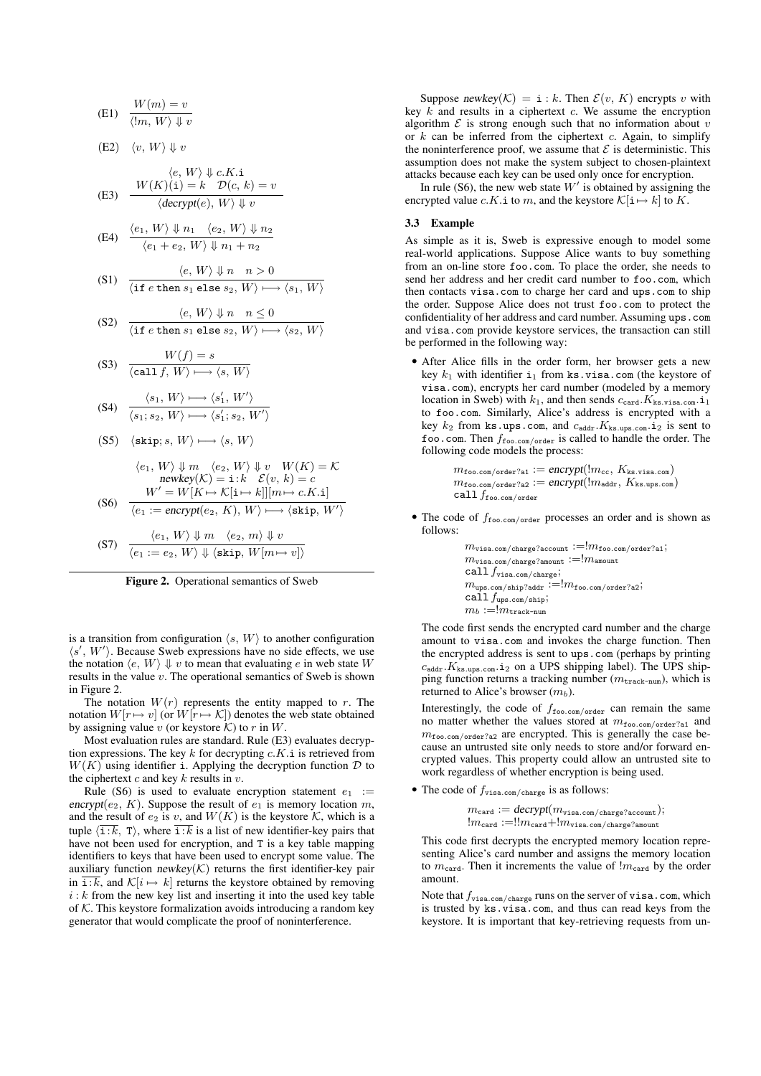(E1) 
$$
\frac{W(m) = v}{\langle \exists m, W \rangle \Downarrow v}
$$

(E2) 
$$
\langle v, W \rangle \Downarrow v
$$

(E3) 
$$
\frac{\langle e, W \rangle \downarrow c.K.\mathbf{i}}{\langle \text{decrypt}(e), W \rangle \downarrow v}
$$

(E4) 
$$
\frac{\langle e_1, W \rangle \Downarrow n_1 \langle e_2, W \rangle \Downarrow n_2}{\langle e_1 + e_2, W \rangle \Downarrow n_1 + n_2}
$$

$$
(S1) \quad \frac{\langle e, W \rangle \Downarrow n \quad n > 0}{\langle \text{if } e \text{ then } s_1 \text{ else } s_2, W \rangle \longmapsto \langle s_1, W \rangle}
$$

(S2) 
$$
\frac{\langle e, W \rangle \Downarrow n \quad n \le 0}{\langle \text{if } e \text{ then } s_1 \text{ else } s_2, W \rangle \longmapsto \langle s_2, W \rangle}
$$

$$
(S3) \quad \frac{W(f) = s}{\langle \text{call } f, W \rangle \longmapsto \langle s, W \rangle}
$$

(S4) 
$$
\frac{\langle s_1, W \rangle \longmapsto \langle s_1', W' \rangle}{\langle s_1, s_2, W \rangle \longmapsto \langle s_1', s_2, W' \rangle}
$$

$$
\text{(S5)}\quad \langle \texttt{skip}; s, \, W \rangle \longmapsto \langle s, \, W \rangle
$$

$$
\langle e_1, W \rangle \Downarrow m \quad \langle e_2, W \rangle \Downarrow v \quad W(K) = K
$$
  
\nnewkey(K) = i:k  $\mathcal{E}(v, k) = c$   
\n
$$
W' = W[K \mapsto K[i \mapsto k]][m \mapsto c.K.i]
$$

(S6) 
$$
\overline{\langle e_1 := \text{encrypt}(e_2, K), W \rangle \longmapsto \langle \text{skip}, W' \rangle}
$$
  
(S7) 
$$
\frac{\langle e_1, W \rangle \Downarrow m \langle e_2, m \rangle \Downarrow v}{\langle W \rangle \vee \langle W \rangle \langle W \rangle}
$$

$$
V) \quad \overline{\langle e_1 := e_2, W \rangle \Downarrow \langle \text{skip}, W[m \mapsto v] \rangle}
$$



is a transition from configuration  $\langle s, W \rangle$  to another configuration  $\langle s', W' \rangle$ . Because Sweb expressions have no side effects, we use the notation  $\langle e, W \rangle \Downarrow v$  to mean that evaluating e in web state W results in the value v. The operational semantics of Sweb is shown in Figure 2.

The notation  $W(r)$  represents the entity mapped to r. The notation  $W[r \mapsto v]$  (or  $W[r \mapsto \mathcal{K}]$ ) denotes the web state obtained by assigning value v (or keystore  $\mathcal K$ ) to r in W.

Most evaluation rules are standard. Rule (E3) evaluates decryption expressions. The key k for decrypting  $c.K.i$  is retrieved from  $W(K)$  using identifier i. Applying the decryption function  $D$  to the ciphertext  $c$  and key  $k$  results in  $v$ .

Rule (S6) is used to evaluate encryption statement  $e_1$  := encrypt( $e_2$ , K). Suppose the result of  $e_1$  is memory location m, and the result of  $e_2$  is v, and  $W(K)$  is the keystore K, which is a tuple  $\langle \overline{\mathbf{i}:k}, \mathbf{T} \rangle$ , where  $\overline{\mathbf{i}:k}$  is a list of new identifier-key pairs that have not been used for encryption, and T is a key table mapping identifiers to keys that have been used to encrypt some value. The auxiliary function  $newkey(K)$  returns the first identifier-key pair in  $\overline{\mathbf{i}:k}$ , and  $\mathcal{K}[i \mapsto k]$  returns the keystore obtained by removing  $i : k$  from the new key list and inserting it into the used key table of  $K$ . This keystore formalization avoids introducing a random key generator that would complicate the proof of noninterference.

Suppose newkey(K) = i : k. Then  $\mathcal{E}(v, K)$  encrypts v with key  $k$  and results in a ciphertext  $c$ . We assume the encryption algorithm  $\mathcal E$  is strong enough such that no information about  $v$ or  $k$  can be inferred from the ciphertext  $c$ . Again, to simplify the noninterference proof, we assume that  $\mathcal E$  is deterministic. This assumption does not make the system subject to chosen-plaintext attacks because each key can be used only once for encryption.

In rule (S6), the new web state  $W'$  is obtained by assigning the encrypted value *c*.K.i to m, and the keystore  $\mathcal{K}[\mathbf{i} \mapsto k]$  to K.

#### 3.3 Example

As simple as it is, Sweb is expressive enough to model some real-world applications. Suppose Alice wants to buy something from an on-line store foo.com. To place the order, she needs to send her address and her credit card number to foo.com, which then contacts visa.com to charge her card and ups.com to ship the order. Suppose Alice does not trust foo.com to protect the confidentiality of her address and card number. Assuming ups.com and visa.com provide keystore services, the transaction can still be performed in the following way:

• After Alice fills in the order form, her browser gets a new key  $k_1$  with identifier  $i_1$  from ks.visa.com (the keystore of visa.com), encrypts her card number (modeled by a memory location in Sweb) with  $k_1$ , and then sends  $c_{\text{card}}$ .  $K_{\text{ks.visa.com}}$ .  $i_1$ to foo.com. Similarly, Alice's address is encrypted with a key  $k_2$  from ks.ups.com, and  $c_{\text{addr}}$ .  $K_{\text{ks.ups.com}}$ . is sent to foo.com. Then  $f_{\text{foo.com/order}}$  is called to handle the order. The following code models the process:

> $m_{\texttt{foo.com/order?a1}} := \textit{encrypt}(!m_{\texttt{cc}}, K_{\texttt{ks.visa.com}})$  $m_{\text{foo.com/order?a2}} := \text{encrypt}(\text{!} m_{\text{addr}}, K_{\text{ks.ups.com}})$  $\operatorname{callf}_\text{foo.com/order}$

• The code of  $f_{\text{foo.com/order}}$  processes an order and is shown as follows:

> $m_{\texttt{visa.com/charge?account}} := !m_{\texttt{foo.com/order?al}};$  $m_{\texttt{visa.com/charge?amount}}:=!m_{\texttt{amount}}$ call  $f_{\tt visa.com/charge};$  $m_{\text{ups.com/ship?addr}} := !m_{\text{foo.com/order?a2}};$ call  $f_{\text{ups.com/ship}}$ ;  $m_b := m_{\text{track-num}}$

The code first sends the encrypted card number and the charge amount to visa.com and invokes the charge function. Then the encrypted address is sent to ups.com (perhaps by printing  $c_{\text{addr}}$ .  $K_{\text{ks.ups.com}}$ . i<sub>2</sub> on a UPS shipping label). The UPS shipping function returns a tracking number ( $m_{\text{track-num}}$ ), which is returned to Alice's browser  $(m_b)$ .

Interestingly, the code of  $f_{\text{foo.com/order}}$  can remain the same no matter whether the values stored at  $m_{\text{foo.com/order?a1}}$  and  $m_{\text{foo.com/order?a2}}$  are encrypted. This is generally the case because an untrusted site only needs to store and/or forward encrypted values. This property could allow an untrusted site to work regardless of whether encryption is being used.

• The code of  $f_{\text{visa.com/charge}}$  is as follows:

 $m_{\texttt{card}} := \textit{decrypt}(m_{\texttt{visa.com/charge?account}});$  $!m_{\text{card}} := !!m_{\text{card}} + !m_{\text{visa.com/charge?amount}}$ 

This code first decrypts the encrypted memory location representing Alice's card number and assigns the memory location to  $m_{\text{card}}$ . Then it increments the value of  $m_{\text{card}}$  by the order amount.

Note that  $f_{\text{visa.com/charge}}$  runs on the server of visa.com, which is trusted by ks.visa.com, and thus can read keys from the keystore. It is important that key-retrieving requests from un-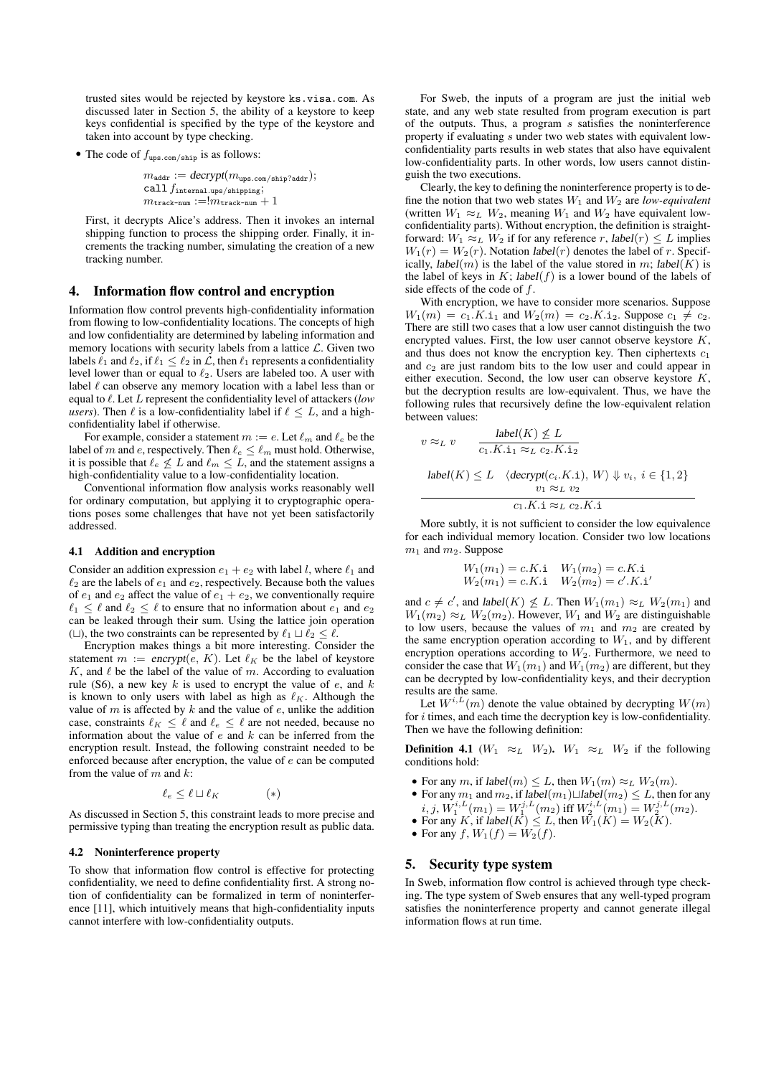trusted sites would be rejected by keystore ks.visa.com. As discussed later in Section 5, the ability of a keystore to keep keys confidential is specified by the type of the keystore and taken into account by type checking.

• The code of  $f_{\text{ups.com/ship}}$  is as follows:

 $m_{\text{addr}} := \textit{decrypt}(m_{\text{ups.com}/\text{ship?addr}});$ call  $f_{\rm internal.\upmu ps/shipping};$  $m_{\text{track-num}} := m_{\text{track-num}} + 1$ 

First, it decrypts Alice's address. Then it invokes an internal shipping function to process the shipping order. Finally, it increments the tracking number, simulating the creation of a new tracking number.

#### 4. Information flow control and encryption

Information flow control prevents high-confidentiality information from flowing to low-confidentiality locations. The concepts of high and low confidentiality are determined by labeling information and memory locations with security labels from a lattice  $\mathcal{L}$ . Given two labels  $\ell_1$  and  $\ell_2$ , if  $\ell_1 \leq \ell_2$  in  $\mathcal{L}$ , then  $\ell_1$  represents a confidentiality level lower than or equal to  $\ell_2$ . Users are labeled too. A user with label  $\ell$  can observe any memory location with a label less than or equal to  $\ell$ . Let L represent the confidentiality level of attackers (*low users*). Then  $\ell$  is a low-confidentiality label if  $\ell \leq L$ , and a highconfidentiality label if otherwise.

For example, consider a statement  $m := e$ . Let  $\ell_m$  and  $\ell_e$  be the label of m and e, respectively. Then  $\ell_e \leq \ell_m$  must hold. Otherwise, it is possible that  $\ell_e \not\leq L$  and  $\ell_m \leq L$ , and the statement assigns a high-confidentiality value to a low-confidentiality location.

Conventional information flow analysis works reasonably well for ordinary computation, but applying it to cryptographic operations poses some challenges that have not yet been satisfactorily addressed.

#### 4.1 Addition and encryption

Consider an addition expression  $e_1 + e_2$  with label l, where  $\ell_1$  and  $\ell_2$  are the labels of  $e_1$  and  $e_2$ , respectively. Because both the values of  $e_1$  and  $e_2$  affect the value of  $e_1 + e_2$ , we conventionally require  $\ell_1 \leq \ell$  and  $\ell_2 \leq \ell$  to ensure that no information about  $e_1$  and  $e_2$ can be leaked through their sum. Using the lattice join operation ( $\Box$ ), the two constraints can be represented by  $\ell_1 \sqcup \ell_2 \leq \ell$ .

Encryption makes things a bit more interesting. Consider the statement  $m := \text{encrypt}(e, K)$ . Let  $\ell_K$  be the label of keystore K, and  $\ell$  be the label of the value of m. According to evaluation rule (S6), a new key  $k$  is used to encrypt the value of  $e$ , and  $k$ is known to only users with label as high as  $\ell_K$ . Although the value of  $m$  is affected by  $k$  and the value of  $e$ , unlike the addition case, constraints  $\ell_K \leq \ell$  and  $\ell_e \leq \ell$  are not needed, because no information about the value of  $e$  and  $k$  can be inferred from the encryption result. Instead, the following constraint needed to be enforced because after encryption, the value of e can be computed from the value of  $m$  and  $k$ :

$$
\ell_e \le \ell \sqcup \ell_K \tag{*}
$$

As discussed in Section 5, this constraint leads to more precise and permissive typing than treating the encryption result as public data.

#### 4.2 Noninterference property

To show that information flow control is effective for protecting confidentiality, we need to define confidentiality first. A strong notion of confidentiality can be formalized in term of noninterference [11], which intuitively means that high-confidentiality inputs cannot interfere with low-confidentiality outputs.

For Sweb, the inputs of a program are just the initial web state, and any web state resulted from program execution is part of the outputs. Thus, a program s satisfies the noninterference property if evaluating s under two web states with equivalent lowconfidentiality parts results in web states that also have equivalent low-confidentiality parts. In other words, low users cannot distinguish the two executions.

Clearly, the key to defining the noninterference property is to define the notion that two web states  $W_1$  and  $W_2$  are *low-equivalent* (written  $W_1 \approx_L W_2$ , meaning  $W_1$  and  $W_2$  have equivalent lowconfidentiality parts). Without encryption, the definition is straightforward:  $W_1 \approx_L W_2$  if for any reference r, label $(r) \leq L$  implies  $W_1(r) = W_2(r)$ . Notation label(r) denotes the label of r. Specifically, *label*(*m*) is the label of the value stored in m; *label*(*K*) is the label of keys in  $K$ ; label( $f$ ) is a lower bound of the labels of side effects of the code of f.

With encryption, we have to consider more scenarios. Suppose  $W_1(m) = c_1.K.i_1$  and  $W_2(m) = c_2.K.i_2$ . Suppose  $c_1 \neq c_2$ . There are still two cases that a low user cannot distinguish the two encrypted values. First, the low user cannot observe keystore K, and thus does not know the encryption key. Then ciphertexts  $c_1$ and  $c_2$  are just random bits to the low user and could appear in either execution. Second, the low user can observe keystore K, but the decryption results are low-equivalent. Thus, we have the following rules that recursively define the low-equivalent relation between values:

$$
v \approx_L v \qquad \frac{\text{label}(K) \not\leq L}{c_1.K.\mathbf{i}_1 \approx_L c_2.K.\mathbf{i}_2}
$$
\n
$$
\text{label}(K) \leq L \quad \langle \text{decrypt}(c_i.K.\mathbf{i}), W \rangle \Downarrow v_i, \ i \in \{1, 2\}
$$
\n
$$
v_1 \approx_L v_2
$$
\n
$$
c_1.K.\mathbf{i} \approx_L c_2.K.\mathbf{i}
$$

More subtly, it is not sufficient to consider the low equivalence for each individual memory location. Consider two low locations  $m_1$  and  $m_2$ . Suppose

$$
W_1(m_1) = c.K.\mathbf{i}
$$
  $W_1(m_2) = c.K.\mathbf{i}$   
 $W_2(m_1) = c.K.\mathbf{i}$   $W_2(m_2) = c'.K.\mathbf{i}'$ 

and  $c \neq c'$ , and label $(K) \nleq L$ . Then  $W_1(m_1) \approx_L W_2(m_1)$  and  $W_1(m_2) \approx_L W_2(m_2)$ . However,  $W_1$  and  $W_2$  are distinguishable to low users, because the values of  $m_1$  and  $m_2$  are created by the same encryption operation according to  $W_1$ , and by different encryption operations according to  $W_2$ . Furthermore, we need to consider the case that  $W_1(m_1)$  and  $W_1(m_2)$  are different, but they can be decrypted by low-confidentiality keys, and their decryption results are the same.

Let  $W^{i,L}(m)$  denote the value obtained by decrypting  $W(m)$ for  $i$  times, and each time the decryption key is low-confidentiality. Then we have the following definition:

**Definition 4.1** ( $W_1 \approx_L W_2$ ).  $W_1 \approx_L W_2$  if the following conditions hold:

- For any m, if label $(m) \leq L$ , then  $W_1(m) \approx_L W_2(m)$ .
- For any  $m_1$  and  $m_2$ , if label $(m_1) \sqcup$ label $(m_2) \leq L$ , then for any  $i, j, W_1^{i,L}(m_1) = W_1^{j,L}(m_2)$  iff  $W_2^{i,L}(m_1) = W_2^{j,L}(m_2)$ .
- For any K, if  $label(K) \leq L$ , then  $W_1(K) = W_2(K)$ .
- For any  $f, W_1(f) = W_2(f)$ .

#### 5. Security type system

In Sweb, information flow control is achieved through type checking. The type system of Sweb ensures that any well-typed program satisfies the noninterference property and cannot generate illegal information flows at run time.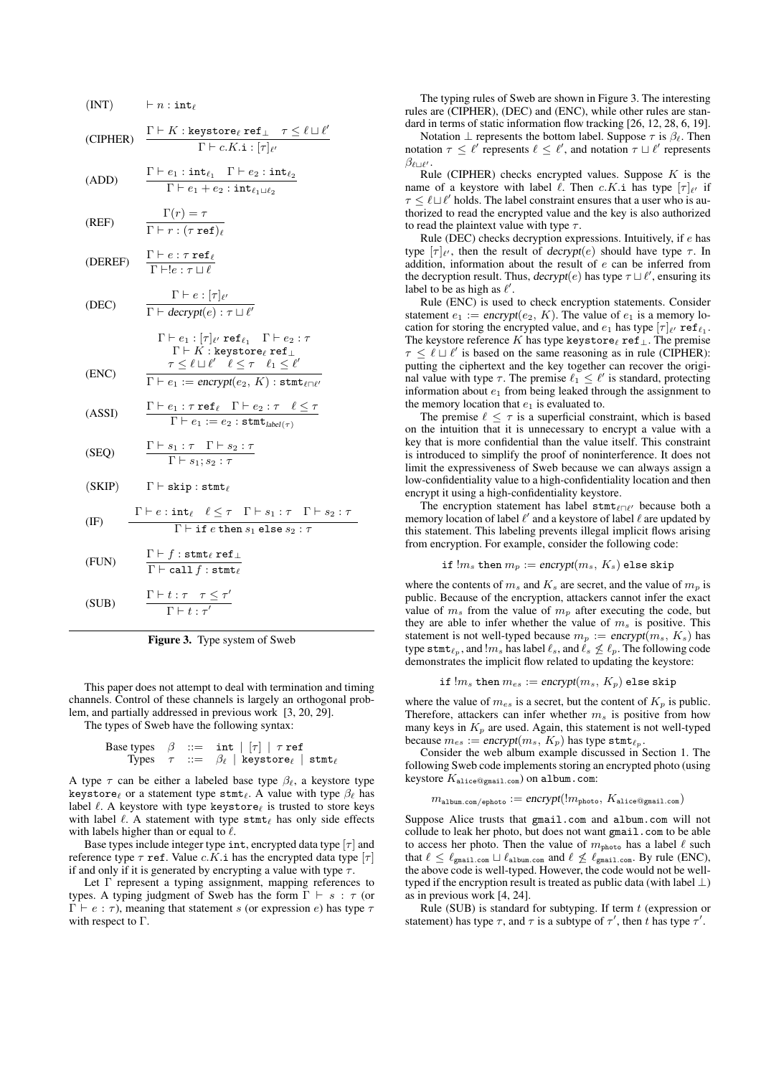(INT)

\n
$$
-n : int_{\ell}
$$
\n(CIPHER)

\n
$$
\frac{\Gamma \vdash K : \text{keystore}_{\ell} \text{ ref}_{\bot} \quad \tau \leq \ell \sqcup \ell'}{\Gamma \vdash c.K. \mathbf{i} : [\tau]_{\ell'}}
$$
\n(ADD)

\n
$$
\frac{\Gamma \vdash e_{1} : int_{\ell_{1}} \quad \Gamma \vdash e_{2} : int_{\ell_{2}}}{\Gamma \vdash e_{1} + e_{2} : int_{\ell_{1} \sqcup \ell_{2}}}
$$
\n(REF)

\n
$$
\frac{\Gamma(r) = \tau}{\Gamma \vdash r : (\tau \text{ ref})_{\ell}}
$$
\n(DECE)

\n
$$
\frac{\Gamma \vdash e : \tau \sqcup e}{\Gamma \vdash e : \tau \sqcup \ell}
$$
\n(DEC)

\n
$$
\frac{\Gamma \vdash e : [\tau]_{\ell'}}{\Gamma \vdash d \text{crypt}} = \tau \leq \ell \sqcup \ell' \quad \text{ref}_{\ell_{1}} \quad \Gamma \vdash e_{2} : \tau \quad \Gamma \vdash K : \text{keystore}_{\ell} \text{ ref}_{\bot}}
$$
\n(ENC)

\n
$$
\frac{\tau \vdash e_{1} : [\tau]_{\ell'} \text{ref}_{\ell_{1}} \quad \Gamma \vdash e_{2} : \tau \quad \Gamma \vdash K : \text{keystore}_{\ell} \text{ref}_{\bot}}{\Gamma \vdash e_{1} := \text{encrypt}}(e_{2}, K) : \text{stmt}_{\ell \sqcap \ell'}
$$
\n(ASSI)

\n
$$
\frac{\Gamma \vdash e_{1} : \tau \text{ ref}_{\ell} \quad \Gamma \vdash e_{2} : \tau \quad \Gamma \vdash s_{2} : \tau}{\Gamma \vdash e_{1} := e_{2} : \text{stmt}_{\text{label}(\tau)}
$$
\n(SEQ)

\n
$$
\frac{\Gamma \vdash s_{1} : \tau \quad \Gamma \vdash s_{2} : \tau}{\Gamma \vdash s_{1}, s_{2} : \tau}
$$
\n(SKIP)

\n
$$
\Gamma \vdash \text{skip} \text{stim}_{\ell} \quad \ell \leq \tau \quad \Gamma \vdash s_{1} : \tau \quad \Gamma \vdash s_{2} : \tau \quad \text{(FUN)}
$$
\n
$$
\frac{\Gamma \vdash f
$$

Figure 3. Type system of Sweb

This paper does not attempt to deal with termination and timing channels. Control of these channels is largely an orthogonal problem, and partially addressed in previous work [3, 20, 29].

The types of Sweb have the following syntax:

Base types 
$$
\beta ::= \text{int} | \tau| \tau \text{ref}
$$

\nTypes  $\tau ::= \beta_{\ell} | \text{keystore}_{\ell} | \text{stmt}_{\ell}$ 

A type  $\tau$  can be either a labeled base type  $\beta_{\ell}$ , a keystore type keystore $\ell$  or a statement type stmt $\ell$ . A value with type  $\beta_{\ell}$  has label  $\ell$ . A keystore with type keystore $_\ell$  is trusted to store keys with label  $\ell$ . A statement with type  $\texttt{stmt}_\ell$  has only side effects with labels higher than or equal to  $\ell$ .

Base types include integer type int, encrypted data type  $[\tau]$  and reference type  $\tau$  ref. Value c.K.i has the encrypted data type  $[\tau]$ if and only if it is generated by encrypting a value with type  $\tau$ .

Let Γ represent a typing assignment, mapping references to types. A typing judgment of Sweb has the form  $\Gamma \vdash s : \tau$  (or  $\Gamma \vdash e : τ$ ), meaning that statement s (or expression e) has type  $τ$ with respect to Γ.

The typing rules of Sweb are shown in Figure 3. The interesting rules are (CIPHER), (DEC) and (ENC), while other rules are standard in terms of static information flow tracking [26, 12, 28, 6, 19].

Notation  $\perp$  represents the bottom label. Suppose  $\tau$  is  $\beta_{\ell}$ . Then notation  $\tau \leq \ell'$  represents  $\ell \leq \ell'$ , and notation  $\tau \sqcup \ell'$  represents  $\beta_{\ell\sqcup\ell'}.$ 

Rule (CIPHER) checks encrypted values. Suppose  $K$  is the name of a keystore with label  $\ell$ . Then  $c.K.$  i has type  $[\tau]_{\ell'}$  if  $\tau \leq \ell \sqcup \ell'$  holds. The label constraint ensures that a user who is authorized to read the encrypted value and the key is also authorized to read the plaintext value with type  $\tau$ .

Rule (DEC) checks decryption expressions. Intuitively, if e has type  $[\tau]_{\ell'}$ , then the result of *decrypt*(*e*) should have type  $\tau$ . In addition, information about the result of e can be inferred from the decryption result. Thus,  $\text{decrypt}(e)$  has type  $\tau \sqcup \ell'$ , ensuring its label to be as high as  $\ell'$ .

Rule (ENC) is used to check encryption statements. Consider statement  $e_1 := \text{encrypt}(e_2, K)$ . The value of  $e_1$  is a memory location for storing the encrypted value, and  $e_1$  has type  $[\tau]_{\ell'}$  ref $\ell_1$ . The keystore reference K has type keystore $_\ell$  ref⊥. The premise  $\tau \leq \ell \sqcup \ell'$  is based on the same reasoning as in rule (CIPHER): putting the ciphertext and the key together can recover the original value with type  $\tau$ . The premise  $\ell_1 \leq \ell'$  is standard, protecting information about  $e_1$  from being leaked through the assignment to the memory location that  $e_1$  is evaluated to.

The premise  $\ell \leq \tau$  is a superficial constraint, which is based on the intuition that it is unnecessary to encrypt a value with a key that is more confidential than the value itself. This constraint is introduced to simplify the proof of noninterference. It does not limit the expressiveness of Sweb because we can always assign a low-confidentiality value to a high-confidentiality location and then encrypt it using a high-confidentiality keystore.

The encryption statement has label  $\texttt{stmt}_{\ell \cap \ell'}$  because both a memory location of label  $\ell'$  and a keystore of label  $\ell$  are updated by this statement. This labeling prevents illegal implicit flows arising from encryption. For example, consider the following code:

if 
$$
!m_s
$$
 then  $m_p := \text{encrypt}(m_s, K_s)$  else skip

where the contents of  $m_s$  and  $K_s$  are secret, and the value of  $m_p$  is public. Because of the encryption, attackers cannot infer the exact value of  $m_s$  from the value of  $m_p$  after executing the code, but they are able to infer whether the value of  $m<sub>s</sub>$  is positive. This statement is not well-typed because  $m_p := \text{encryption}(m_s, K_s)$  has type stmt $_{\ell_p}$ , and  $!m_s$  has label  $\ell_s$ , and  $\ell_s \nleq \ell_p$ . The following code demonstrates the implicit flow related to updating the keystore:

$$
\mathtt{if}~!m_s~\mathtt{then}~m_{es}:=\mathit{encrypt}(m_s,~K_p)~\mathtt{else}~\mathtt{skip}
$$

where the value of  $m_{es}$  is a secret, but the content of  $K_p$  is public. Therefore, attackers can infer whether  $m_s$  is positive from how many keys in  $K_p$  are used. Again, this statement is not well-typed because  $m_{es} := \text{encrypt}(m_s, K_p)$  has type stmt $_{\ell_p}$ .

Consider the web album example discussed in Section 1. The following Sweb code implements storing an encrypted photo (using keystore Kalice@gmail.com) on album.com:

$$
m_{\mathtt{album.com/ephoto}} := \mathit{encrypt}(\mathit{l}m_{\mathtt{photo}}, \mathit{K}_{\mathtt{alice} \mathcal{Q} \mathtt{gmail.com}})
$$

Suppose Alice trusts that gmail.com and album.com will not collude to leak her photo, but does not want gmail.com to be able to access her photo. Then the value of  $m_{\text{photo}}$  has a label  $\ell$  such that  $\ell \leq \ell_{\texttt{gmail.com}} \sqcup \ell_{\texttt{album.com}}$  and  $\ell \not\leq \ell_{\texttt{gmail.com}}$ . By rule (ENC), the above code is well-typed. However, the code would not be welltyped if the encryption result is treated as public data (with label  $\perp$ ) as in previous work [4, 24].

Rule (SUB) is standard for subtyping. If term  $t$  (expression or statement) has type  $\tau$ , and  $\tau$  is a subtype of  $\tau'$ , then t has type  $\tau'$ .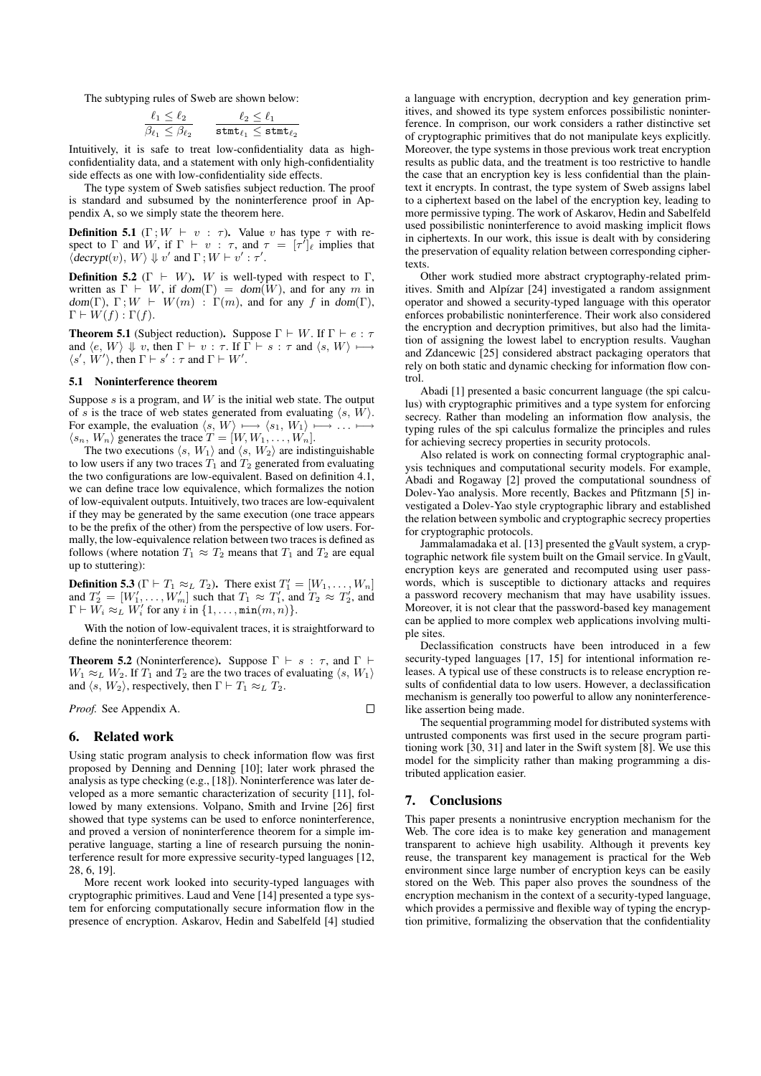The subtyping rules of Sweb are shown below:

$$
\frac{\ell_1 \leq \ell_2}{\beta_{\ell_1} \leq \beta_{\ell_2}} \qquad \frac{\ell_2 \leq \ell_1}{\texttt{stmt}_{\ell_1} \leq \texttt{stmt}_{\ell_2}}
$$

Intuitively, it is safe to treat low-confidentiality data as highconfidentiality data, and a statement with only high-confidentiality side effects as one with low-confidentiality side effects.

The type system of Sweb satisfies subject reduction. The proof is standard and subsumed by the noninterference proof in Appendix A, so we simply state the theorem here.

**Definition 5.1** (Γ;  $W \vdash v : \tau$ ). Value v has type  $\tau$  with respect to  $\Gamma$  and  $W$ , if  $\Gamma \vdash v : \tau$ , and  $\tau = [\tau']\hat{e}$  implies that  $\langle \text{decrypt}(v), W \rangle \Downarrow v'$  and  $\Gamma$ ;  $W \vdash v' : \tau'$ .

**Definition 5.2** ( $\Gamma \vdash W$ ). W is well-typed with respect to  $\Gamma$ , written as  $\Gamma \vdash W$ , if dom( $\Gamma$ ) = dom( $W$ ), and for any m in dom(Γ),  $\Gamma$ ;  $W \vdash W(m)$ : Γ(m), and for any f in dom(Γ),  $\Gamma \vdash W(f) : \Gamma(f).$ 

**Theorem 5.1** (Subject reduction). Suppose  $\Gamma \vdash W$ . If  $\Gamma \vdash e : \tau$ and  $\langle e, W \rangle \Downarrow v$ , then  $\Gamma \vdash v : \tau$ . If  $\Gamma \vdash s : \tau$  and  $\langle s, W \rangle \longmapsto$  $\langle s', W' \rangle$ , then  $\Gamma \vdash s' : \tau$  and  $\Gamma \vdash W'$ .

#### 5.1 Noninterference theorem

Suppose  $s$  is a program, and  $W$  is the initial web state. The output of s is the trace of web states generated from evaluating  $\langle s, W \rangle$ . For example, the evaluation  $\langle s, W \rangle \longmapsto \langle s_1, W_1 \rangle$  +  $\langle s_n, W_n \rangle$  generates the trace  $T = [W, W_1, \dots, W_n].$ 

The two executions  $\langle s, W_1 \rangle$  and  $\langle s, W_2 \rangle$  are indistinguishable to low users if any two traces  $T_1$  and  $T_2$  generated from evaluating the two configurations are low-equivalent. Based on definition 4.1, we can define trace low equivalence, which formalizes the notion of low-equivalent outputs. Intuitively, two traces are low-equivalent if they may be generated by the same execution (one trace appears to be the prefix of the other) from the perspective of low users. Formally, the low-equivalence relation between two traces is defined as follows (where notation  $T_1 \approx T_2$  means that  $T_1$  and  $T_2$  are equal up to stuttering):

**Definition 5.3** ( $\Gamma \vdash T_1 \approx_L T_2$ ). There exist  $T'_1 = [W_1, \ldots, W_n]$ and  $T_2' = [W_1', \ldots, W_m']$  such that  $T_1 \approx T_1'$ , and  $T_2 \approx T_2'$ , and  $\Gamma \vdash W_i \approx_L W'_i$  for any  $i$  in  $\{1, \ldots, \min(m, n)\}.$ 

With the notion of low-equivalent traces, it is straightforward to define the noninterference theorem:

**Theorem 5.2** (Noninterference). Suppose  $\Gamma \vdash s : \tau$ , and  $\Gamma \vdash$  $W_1 \approx_L W_2$ . If  $T_1$  and  $T_2$  are the two traces of evaluating  $\langle s, W_1 \rangle$ and  $\langle s, W_2 \rangle$ , respectively, then  $\Gamma \vdash T_1 \approx_L T_2$ .

#### *Proof.* See Appendix A.

 $\Box$ 

# 6. Related work

Using static program analysis to check information flow was first proposed by Denning and Denning [10]; later work phrased the analysis as type checking (e.g., [18]). Noninterference was later developed as a more semantic characterization of security [11], followed by many extensions. Volpano, Smith and Irvine [26] first showed that type systems can be used to enforce noninterference, and proved a version of noninterference theorem for a simple imperative language, starting a line of research pursuing the noninterference result for more expressive security-typed languages [12, 28, 6, 19].

More recent work looked into security-typed languages with cryptographic primitives. Laud and Vene [14] presented a type system for enforcing computationally secure information flow in the presence of encryption. Askarov, Hedin and Sabelfeld [4] studied

a language with encryption, decryption and key generation primitives, and showed its type system enforces possibilistic noninterference. In comprison, our work considers a rather distinctive set of cryptographic primitives that do not manipulate keys explicitly. Moreover, the type systems in those previous work treat encryption results as public data, and the treatment is too restrictive to handle the case that an encryption key is less confidential than the plaintext it encrypts. In contrast, the type system of Sweb assigns label to a ciphertext based on the label of the encryption key, leading to more permissive typing. The work of Askarov, Hedin and Sabelfeld used possibilistic noninterference to avoid masking implicit flows in ciphertexts. In our work, this issue is dealt with by considering the preservation of equality relation between corresponding ciphertexts.

Other work studied more abstract cryptography-related primitives. Smith and Alpízar [24] investigated a random assignment operator and showed a security-typed language with this operator enforces probabilistic noninterference. Their work also considered the encryption and decryption primitives, but also had the limitation of assigning the lowest label to encryption results. Vaughan and Zdancewic [25] considered abstract packaging operators that rely on both static and dynamic checking for information flow control.

Abadi [1] presented a basic concurrent language (the spi calculus) with cryptographic primitives and a type system for enforcing secrecy. Rather than modeling an information flow analysis, the typing rules of the spi calculus formalize the principles and rules for achieving secrecy properties in security protocols.

Also related is work on connecting formal cryptographic analysis techniques and computational security models. For example, Abadi and Rogaway [2] proved the computational soundness of Dolev-Yao analysis. More recently, Backes and Pfitzmann [5] investigated a Dolev-Yao style cryptographic library and established the relation between symbolic and cryptographic secrecy properties for cryptographic protocols.

Jammalamadaka et al. [13] presented the gVault system, a cryptographic network file system built on the Gmail service. In gVault, encryption keys are generated and recomputed using user passwords, which is susceptible to dictionary attacks and requires a password recovery mechanism that may have usability issues. Moreover, it is not clear that the password-based key management can be applied to more complex web applications involving multiple sites.

Declassification constructs have been introduced in a few security-typed languages [17, 15] for intentional information releases. A typical use of these constructs is to release encryption results of confidential data to low users. However, a declassification mechanism is generally too powerful to allow any noninterferencelike assertion being made.

The sequential programming model for distributed systems with untrusted components was first used in the secure program partitioning work [30, 31] and later in the Swift system [8]. We use this model for the simplicity rather than making programming a distributed application easier.

# 7. Conclusions

This paper presents a nonintrusive encryption mechanism for the Web. The core idea is to make key generation and management transparent to achieve high usability. Although it prevents key reuse, the transparent key management is practical for the Web environment since large number of encryption keys can be easily stored on the Web. This paper also proves the soundness of the encryption mechanism in the context of a security-typed language, which provides a permissive and flexible way of typing the encryption primitive, formalizing the observation that the confidentiality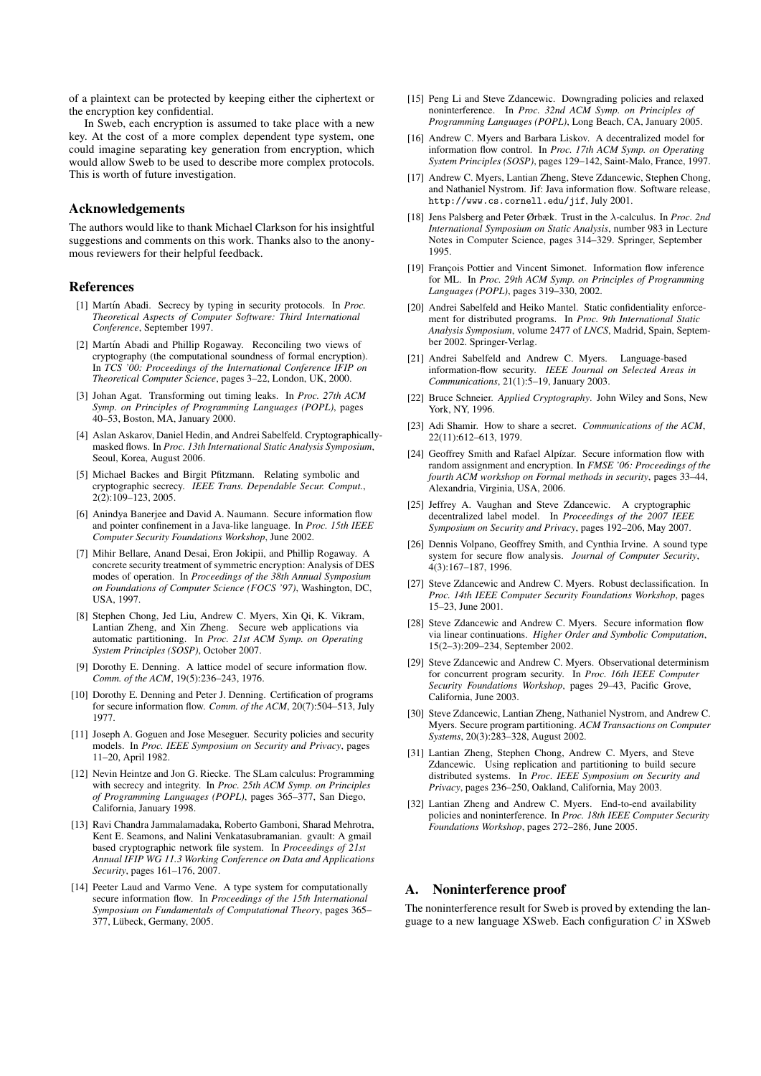of a plaintext can be protected by keeping either the ciphertext or the encryption key confidential.

In Sweb, each encryption is assumed to take place with a new key. At the cost of a more complex dependent type system, one could imagine separating key generation from encryption, which would allow Sweb to be used to describe more complex protocols. This is worth of future investigation.

# Acknowledgements

The authors would like to thank Michael Clarkson for his insightful suggestions and comments on this work. Thanks also to the anonymous reviewers for their helpful feedback.

# References

- [1] Martín Abadi. Secrecy by typing in security protocols. In *Proc. Theoretical Aspects of Computer Software: Third International Conference*, September 1997.
- [2] Martín Abadi and Phillip Rogaway. Reconciling two views of cryptography (the computational soundness of formal encryption). In *TCS '00: Proceedings of the International Conference IFIP on Theoretical Computer Science*, pages 3–22, London, UK, 2000.
- [3] Johan Agat. Transforming out timing leaks. In *Proc. 27th ACM Symp. on Principles of Programming Languages (POPL)*, pages 40–53, Boston, MA, January 2000.
- [4] Aslan Askarov, Daniel Hedin, and Andrei Sabelfeld. Cryptographicallymasked flows. In *Proc. 13th International Static Analysis Symposium*, Seoul, Korea, August 2006.
- [5] Michael Backes and Birgit Pfitzmann. Relating symbolic and cryptographic secrecy. *IEEE Trans. Dependable Secur. Comput.*, 2(2):109–123, 2005.
- [6] Anindya Banerjee and David A. Naumann. Secure information flow and pointer confinement in a Java-like language. In *Proc. 15th IEEE Computer Security Foundations Workshop*, June 2002.
- [7] Mihir Bellare, Anand Desai, Eron Jokipii, and Phillip Rogaway. A concrete security treatment of symmetric encryption: Analysis of DES modes of operation. In *Proceedings of the 38th Annual Symposium on Foundations of Computer Science (FOCS '97)*, Washington, DC, USA, 1997.
- [8] Stephen Chong, Jed Liu, Andrew C. Myers, Xin Qi, K. Vikram, Lantian Zheng, and Xin Zheng. Secure web applications via automatic partitioning. In *Proc. 21st ACM Symp. on Operating System Principles (SOSP)*, October 2007.
- [9] Dorothy E. Denning. A lattice model of secure information flow. *Comm. of the ACM*, 19(5):236–243, 1976.
- [10] Dorothy E. Denning and Peter J. Denning. Certification of programs for secure information flow. *Comm. of the ACM*, 20(7):504–513, July 1977.
- [11] Joseph A. Goguen and Jose Meseguer. Security policies and security models. In *Proc. IEEE Symposium on Security and Privacy*, pages 11–20, April 1982.
- [12] Nevin Heintze and Jon G. Riecke. The SLam calculus: Programming with secrecy and integrity. In *Proc. 25th ACM Symp. on Principles of Programming Languages (POPL)*, pages 365–377, San Diego, California, January 1998.
- [13] Ravi Chandra Jammalamadaka, Roberto Gamboni, Sharad Mehrotra, Kent E. Seamons, and Nalini Venkatasubramanian. gvault: A gmail based cryptographic network file system. In *Proceedings of 21st Annual IFIP WG 11.3 Working Conference on Data and Applications Security*, pages 161–176, 2007.
- [14] Peeter Laud and Varmo Vene. A type system for computationally secure information flow. In *Proceedings of the 15th International Symposium on Fundamentals of Computational Theory*, pages 365– 377, Lübeck, Germany, 2005.
- [15] Peng Li and Steve Zdancewic. Downgrading policies and relaxed noninterference. In *Proc. 32nd ACM Symp. on Principles of Programming Languages (POPL)*, Long Beach, CA, January 2005.
- [16] Andrew C. Myers and Barbara Liskov. A decentralized model for information flow control. In *Proc. 17th ACM Symp. on Operating System Principles (SOSP)*, pages 129–142, Saint-Malo, France, 1997.
- [17] Andrew C. Myers, Lantian Zheng, Steve Zdancewic, Stephen Chong, and Nathaniel Nystrom. Jif: Java information flow. Software release, http://www.cs.cornell.edu/jif, July 2001.
- [18] Jens Palsberg and Peter Ørbæk. Trust in the λ-calculus. In *Proc. 2nd International Symposium on Static Analysis*, number 983 in Lecture Notes in Computer Science, pages 314–329. Springer, September 1995.
- [19] François Pottier and Vincent Simonet. Information flow inference for ML. In *Proc. 29th ACM Symp. on Principles of Programming Languages (POPL)*, pages 319–330, 2002.
- [20] Andrei Sabelfeld and Heiko Mantel. Static confidentiality enforcement for distributed programs. In *Proc. 9th International Static Analysis Symposium*, volume 2477 of *LNCS*, Madrid, Spain, September 2002. Springer-Verlag.
- [21] Andrei Sabelfeld and Andrew C. Myers. Language-based information-flow security. *IEEE Journal on Selected Areas in Communications*, 21(1):5–19, January 2003.
- [22] Bruce Schneier. *Applied Cryptography*. John Wiley and Sons, New York, NY, 1996.
- [23] Adi Shamir. How to share a secret. *Communications of the ACM*, 22(11):612–613, 1979.
- [24] Geoffrey Smith and Rafael Alpízar. Secure information flow with random assignment and encryption. In *FMSE '06: Proceedings of the fourth ACM workshop on Formal methods in security*, pages 33–44, Alexandria, Virginia, USA, 2006.
- [25] Jeffrey A. Vaughan and Steve Zdancewic. A cryptographic decentralized label model. In *Proceedings of the 2007 IEEE Symposium on Security and Privacy*, pages 192–206, May 2007.
- [26] Dennis Volpano, Geoffrey Smith, and Cynthia Irvine. A sound type system for secure flow analysis. *Journal of Computer Security*, 4(3):167–187, 1996.
- [27] Steve Zdancewic and Andrew C. Myers. Robust declassification. In *Proc. 14th IEEE Computer Security Foundations Workshop*, pages 15–23, June 2001.
- [28] Steve Zdancewic and Andrew C. Myers. Secure information flow via linear continuations. *Higher Order and Symbolic Computation*, 15(2–3):209–234, September 2002.
- [29] Steve Zdancewic and Andrew C. Myers. Observational determinism for concurrent program security. In *Proc. 16th IEEE Computer Security Foundations Workshop*, pages 29–43, Pacific Grove, California, June 2003.
- [30] Steve Zdancewic, Lantian Zheng, Nathaniel Nystrom, and Andrew C. Myers. Secure program partitioning. *ACM Transactions on Computer Systems*, 20(3):283–328, August 2002.
- [31] Lantian Zheng, Stephen Chong, Andrew C. Myers, and Steve Zdancewic. Using replication and partitioning to build secure distributed systems. In *Proc. IEEE Symposium on Security and Privacy*, pages 236–250, Oakland, California, May 2003.
- [32] Lantian Zheng and Andrew C. Myers. End-to-end availability policies and noninterference. In *Proc. 18th IEEE Computer Security Foundations Workshop*, pages 272–286, June 2005.

## A. Noninterference proof

The noninterference result for Sweb is proved by extending the language to a new language XSweb. Each configuration  $C$  in XSweb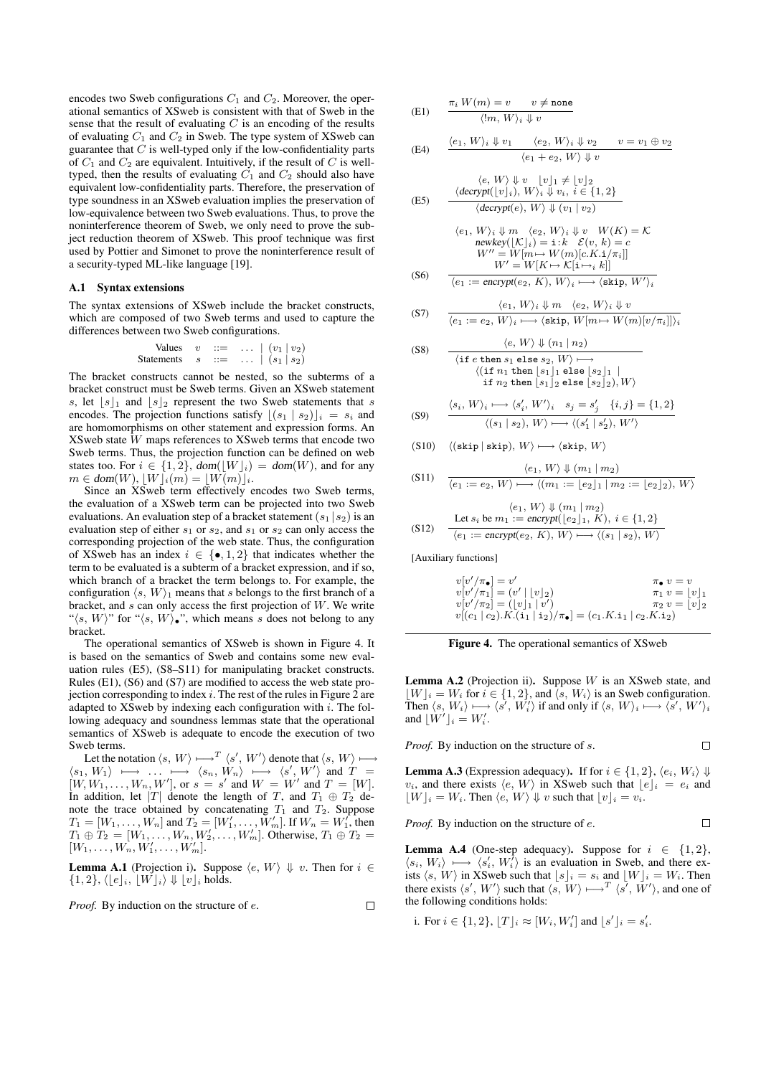encodes two Sweb configurations  $C_1$  and  $C_2$ . Moreover, the operational semantics of XSweb is consistent with that of Sweb in the sense that the result of evaluating  $C$  is an encoding of the results of evaluating  $C_1$  and  $C_2$  in Sweb. The type system of XSweb can guarantee that  $C$  is well-typed only if the low-confidentiality parts of  $C_1$  and  $C_2$  are equivalent. Intuitively, if the result of  $C$  is welltyped, then the results of evaluating  $C_1$  and  $C_2$  should also have equivalent low-confidentiality parts. Therefore, the preservation of type soundness in an XSweb evaluation implies the preservation of low-equivalence between two Sweb evaluations. Thus, to prove the noninterference theorem of Sweb, we only need to prove the subject reduction theorem of XSweb. This proof technique was first used by Pottier and Simonet to prove the noninterference result of a security-typed ML-like language [19].

#### A.1 Syntax extensions

The syntax extensions of XSweb include the bracket constructs, which are composed of two Sweb terms and used to capture the differences between two Sweb configurations.

| Values     | $v$ | $\cdots$ | $\cdots$ | $(v_1   v_2)$ |
|------------|-----|----------|----------|---------------|
| Statements | $s$ | $\cdots$ | $\cdots$ | $(s_1   s_2)$ |

The bracket constructs cannot be nested, so the subterms of a bracket construct must be Sweb terms. Given an XSweb statement s, let  $|s|_1$  and  $|s|_2$  represent the two Sweb statements that s encodes. The projection functions satisfy  $|(s_1 | s_2)|_i = s_i$  and are homomorphisms on other statement and expression forms. An XSweb state  $\overline{W}$  maps references to XSweb terms that encode two Sweb terms. Thus, the projection function can be defined on web states too. For  $i \in \{1,2\}$ ,  $dom([W]_i) = dom(W)$ , and for any  $m \in \text{dom}(W), \lfloor W \rfloor_i(m) = \lfloor W(m) \rfloor_i.$ 

Since an XSweb term effectively encodes two Sweb terms, the evaluation of a XSweb term can be projected into two Sweb evaluations. An evaluation step of a bracket statement  $(s_1 | s_2)$  is an evaluation step of either  $s_1$  or  $s_2$ , and  $s_1$  or  $s_2$  can only access the corresponding projection of the web state. Thus, the configuration of XSweb has an index  $i \in \{ \bullet, 1, 2 \}$  that indicates whether the term to be evaluated is a subterm of a bracket expression, and if so, which branch of a bracket the term belongs to. For example, the configuration  $\langle s, W \rangle_1$  means that s belongs to the first branch of a bracket, and  $s$  can only access the first projection of  $W$ . We write " $\langle s, W \rangle$ " for " $\langle s, W \rangle \bullet$ ", which means s does not belong to any bracket.

The operational semantics of XSweb is shown in Figure 4. It is based on the semantics of Sweb and contains some new evaluation rules (E5), (S8–S11) for manipulating bracket constructs. Rules (E1), (S6) and (S7) are modified to access the web state projection corresponding to index  $i$ . The rest of the rules in Figure 2 are adapted to XSweb by indexing each configuration with  $i$ . The following adequacy and soundness lemmas state that the operational semantics of XSweb is adequate to encode the execution of two Sweb terms.

Let the notation  $\langle s, W \rangle \longmapsto^{T} \langle s', W' \rangle$  denote that  $\langle s, W \rangle \longmapsto$  $\langle s_1, W_1 \rangle \mapsto \dots \mapsto \langle s_n, W_n \rangle \mapsto \langle s', W' \rangle$  and  $T =$  $[W, W_1, \ldots, W_n, W']$ , or  $s = s'$  and  $W = W'$  and  $T = [W]$ . In addition, let |T| denote the length of T, and  $T_1 \oplus T_2$  denote the trace obtained by concatenating  $T_1$  and  $T_2$ . Suppose  $T_1 = [W_1, \ldots, W_n]$  and  $T_2 = [W'_1, \ldots, W'_m]$ . If  $W_n = W'_1$ , then  $T_1 \oplus T_2 = [W_1, \ldots, W_n, W_2', \ldots, W_m']$ . Otherwise,  $T_1 \oplus T_2 =$  $[W_1, \ldots, W_n, W'_1, \ldots, W'_m].$ 

**Lemma A.1** (Projection i). Suppose  $\langle e, W \rangle \Downarrow v$ . Then for  $i \in$  $\{1,2\}, \langle e|_i, |W|_i \rangle \Downarrow |v|_i$  holds.

*Proof.* By induction on the structure of e.

(E1) 
$$
\frac{\pi_i W(m) = v \quad v \neq \text{none}}{\langle !m, W \rangle_i \downarrow v}
$$

(E4) 
$$
\frac{\langle e_1, W \rangle_i \Downarrow v_1 \quad \langle e_2, W \rangle_i \Downarrow v_2 \quad v = v_1 \oplus v_2}{\langle e_1 + e_2, W \rangle \Downarrow v}
$$

(E5) 
$$
\langle e, W \rangle \Downarrow v \quad [v]_1 \neq [v]_2
$$

$$
\frac{\langle \text{decrypt}([v]_i), W \rangle_i \Downarrow v_i, i \in \{1, 2\}}{\langle \text{decrypt}(e), W \rangle \Downarrow (v_1 \mid v_2)}
$$

(6) 
$$
\langle e_1, W \rangle_i \downarrow m \langle e_2, W \rangle_i \downarrow v \quad W(K) = K
$$
  
\nnewkey( $[\mathcal{K}]_i$ ) = i:k  $\mathcal{E}(v, k) = c$   
\n
$$
W'' = W[m \rightarrow W(m)[c.K.i/\pi_i]]
$$
  
\n(86) 
$$
\overline{\langle e_1 := \text{encrypt}(e_2, K), W \rangle_i \longmapsto \langle \text{skip}, W' \rangle_i}
$$

$$
(S7) \qquad \frac{\langle e_1, W \rangle_i \Downarrow m \quad \langle e_2, W \rangle_i \Downarrow v}{\langle e_1 \cdot - e_2 \quad W \rangle_i \longmapsto \langle \text{skip } W \rangle_i \downarrow m \rightarrow W(m) \langle v/m \rangle |v/m \cdot w}
$$

(88) 
$$
\frac{\langle e, W \rangle \Downarrow (n_1 | n_2)}{\langle e, W \rangle \Downarrow (n_1 | n_2)}
$$

$$
\langle \text{if } n_1 \text{ then } s_1 \text{ else } s_2, w \rangle \longrightarrow
$$
  

$$
\langle (\text{if } n_1 \text{ then } [s_1]_1 \text{ else } [s_2]_1 \mid
$$
  
if  $n_2 \text{ then } [s_1]_2 \text{ else } [s_2]_2), W \rangle$ 

$$
(S9) \qquad \frac{\langle s_i, W \rangle_i \longmapsto \langle s_i', W' \rangle_i \quad s_j = s_j' \quad \{i, j\} = \{1, 2\}}{\langle (s_1 \mid s_2), W \rangle \longmapsto \langle (s_1' \mid s_2'), W' \rangle}
$$

(S10) 
$$
\langle (\text{skip} | \text{skip}), W \rangle \longmapsto \langle \text{skip}, W \rangle
$$

$$
(S11) \quad \frac{\langle e_1, W \rangle \Downarrow (m_1 | m_2)}{\langle e_1 := e_2, W \rangle \longmapsto \langle (m_1 := \lfloor e_2 \rfloor_1 | m_2 := \lfloor e_2 \rfloor_2), W \rangle}
$$

$$
\langle e_1, W \rangle \Downarrow (m_1 \mid m_2)
$$
  
(S12) Let  $s_i$  be  $m_1 := \text{encrypt}(\lfloor e_2 \rfloor_1, K), i \in \{1, 2\}$   

$$
\langle e_1 := \text{encrypt}(e_2, K), W \rangle \longmapsto \langle (s_1 \mid s_2), W \rangle
$$

[Auxiliary functions]

 $\Box$ 

$$
v[v'/\pi_{\bullet}] = v' \qquad \pi_{\bullet} v = v
$$
  
\n
$$
v[v'/\pi_{1}] = (v' | [v]_{2}) \qquad \pi_{1} v = [v]_{1}
$$
  
\n
$$
v[v'/\pi_{2}] = ([v]_{1} | v')
$$
  
\n
$$
v[(c_{1} | c_{2}).K.(i_{1} | i_{2})/\pi_{\bullet}] = (c_{1}.K.i_{1} | c_{2}.K.i_{2})
$$



**Lemma A.2** (Projection ii). Suppose  $W$  is an XSweb state, and  $\lfloor W \rfloor_i = W_i$  for  $i \in \{1, 2\}$ , and  $\langle s, W_i \rangle$  is an Sweb configuration. Then  $\langle s, W_i \rangle \longmapsto \langle s', W'_i \rangle$  if and only if  $\langle s, W \rangle_i \longmapsto \langle s', W' \rangle_i$ and  $\lfloor W' \rfloor_i = W'_i$ .

*Proof.* By induction on the structure of s.  $\Box$ 

**Lemma A.3** (Expression adequacy). If for  $i \in \{1, 2\}$ ,  $\langle e_i, W_i \rangle \Downarrow$  $v_i$ , and there exists  $\langle e, W \rangle$  in XSweb such that  $\|e\|_i = e_i$  and  $\lfloor W \rfloor_i = W_i$ . Then  $\langle e, W \rangle \Downarrow v$  such that  $\lfloor v \rfloor_i = v_i$ .

 $\Box$ 

*Proof.* By induction on the structure of e.

**Lemma A.4** (One-step adequacy). Suppose for  $i \in \{1,2\}$ ,  $\langle s_i, W_i \rangle \longmapsto \langle s'_i, W_i^{\overline{i}} \rangle$  is an evaluation in Sweb, and there exists  $\langle s, W \rangle$  in XSweb such that  $\lfloor s \rfloor_i = s_i$  and  $\lfloor W \rfloor_i = W_i$ . Then there exists  $\langle s', W' \rangle$  such that  $\langle s, W \rangle \longmapsto^{T} \langle s', W' \rangle$ , and one of the following conditions holds:

i. For 
$$
i \in \{1,2\}, \lfloor T \rfloor_i \approx [W_i,W'_i]
$$
 and  $\lfloor s' \rfloor_i = s'_i$ .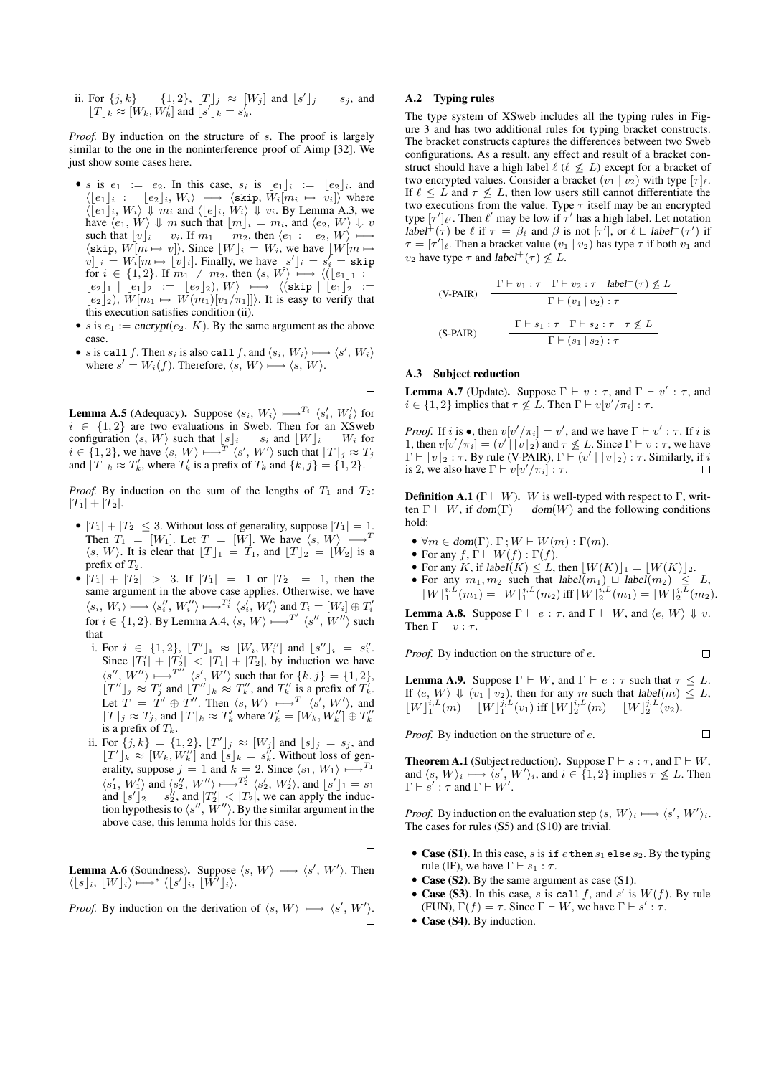ii. For  $\{j, k\} = \{1, 2\}$ ,  $[T]_j \approx [W_j]$  and  $[s']_j = s_j$ , and  $[T]_k \approx [W_k, W'_k]$  and  $[s']_k = s'_k$ .

*Proof.* By induction on the structure of s. The proof is largely similar to the one in the noninterference proof of Aimp [32]. We just show some cases here.

- s is  $e_1 := e_2$ . In this case,  $s_i$  is  $\lfloor e_1 \rfloor_i := \lfloor e_2 \rfloor_i$ , and  $\langle [e_1]_i := [e_2]_i, W_i \rangle \longmapsto \langle \text{skip}, \overline{W}_i[m_i \mapsto v_i] \rangle$  where  $\langle [e_1]_i, W_i \rangle \Downarrow m_i$  and  $\langle [e]_i, W_i \rangle \Downarrow v_i$ . By Lemma A.3, we have  $\langle e_1, W \rangle \Downarrow m$  such that  $\lfloor m \rfloor_i = m_i$ , and  $\langle e_2, W \rangle \Downarrow v$ such that  $\lfloor v \rfloor_i = v_i$ . If  $m_1 = m_2$ , then  $\langle e_1 := e_2, W \rangle \longmapsto$  $\langle$ skip,  $W[m \mapsto v] \rangle$ . Since  $[W]_i = W_i$ , we have  $[W[m \mapsto v]]_i$  $[v]]_i = W_i[m \mapsto [v]_i]$ . Finally, we have  $[s']_i = s'_i = \text{skip}$ for  $i \in \{1, 2\}$ . If  $m_1 \neq m_2$ , then  $\langle s, W \rangle \longrightarrow \langle ( \lfloor e_1 \rfloor_1 \cdot \frac{1}{\lfloor e_1 \rfloor})$  $[e_2]_1 | [e_1]_2 := [e_2]_2, W \rightarrow \langle (\text{skip} | [e_1]_2 :=$  $\lbrack e_2 \rbrack_2$ ,  $\tilde{W}[m_1 \mapsto W(m_1)[v_1/\pi_1]]$ . It is easy to verify that this execution satisfies condition (ii).
- s is  $e_1 := \text{encrypt}(e_2, K)$ . By the same argument as the above case.
- s is call f. Then  $s_i$  is also call f, and  $\langle s_i, W_i \rangle \longmapsto \langle s', W_i \rangle$ where  $s' = W_i(f)$ . Therefore,  $\langle s, W \rangle \longrightarrow \langle s, W \rangle$ .

 $\Box$ 

**Lemma A.5** (Adequacy). Suppose  $\langle s_i, W_i \rangle \mapsto^{T_i} \langle s'_i, W'_i \rangle$  for  $i \in \{1, 2\}$  are two evaluations in Sweb. Then for an XSweb configuration  $\langle s, W \rangle$  such that  $\lfloor s \rfloor_i = s_i$  and  $\lfloor W \rfloor_i = W_i$  for  $i \in \{1, 2\}$ , we have  $\langle s, W \rangle \longmapsto^{T} \langle s', W' \rangle$  such that  $[T]_j \approx T_j$ and  $[T]_k \approx T'_k$ , where  $T'_k$  is a prefix of  $T_k$  and  $\{k, j\} = \{1, 2\}.$ 

*Proof.* By induction on the sum of the lengths of  $T_1$  and  $T_2$ :  $|T_1| + |T_2|$ .

- $|T_1| + |T_2| \leq 3$ . Without loss of generality, suppose  $|T_1| = 1$ . Then  $T_1 = [W_1]$ . Let  $T = [W]$ . We have  $\langle s, W \rangle \longmapsto^{T}$  $\langle s, W \rangle$ . It is clear that  $\lfloor T \rfloor_1 = T_1$ , and  $\lfloor T \rfloor_2 = \lfloor W_2 \rfloor$  is a prefix of  $T_2$ .
- $|T_1| + |T_2| > 3$ . If  $|T_1| = 1$  or  $|T_2| = 1$ , then the same argument in the above case applies. Otherwise, we have  $\langle s_i, W_i \rangle \longmapsto \langle s_i'', W_i'' \rangle \longmapsto^{T_i'} \langle s_i', W_i' \rangle$  and  $T_i = [W_i] \oplus T_i'$ for  $i \in \{1, 2\}$ . By Lemma A.4,  $\langle s, W \rangle \rightarrow T' \langle s'', W'' \rangle$  such that
	- i. For  $i \in \{1,2\}, \, \lfloor T'\rfloor_i \approx [W_i, W_i'']$  and  $\lfloor s''\rfloor_i = s''_i$ . Since  $|T_1'| + |T_2'| < |T_1| + |T_2|$ , by induction we have  $\langle s'', W'' \rangle \longmapsto^{T''} \langle s', W' \rangle$  such that for  $\{k, j\} = \{1, 2\},\$  $[T^{ij}]_j \approx T'_j$  and  $[T^{ij}]_k \approx T''_k$ , and  $T''_k$  is a prefix of  $T'_k$ . Let  $T = T' \oplus T''$ . Then  $\langle s, W \rangle \longmapsto^{T} \langle s', W' \rangle$ , and  $[T]_j \approx T_j$ , and  $[T]_k \approx T'_k$  where  $T'_k = [W_k, W''_k] \oplus T''_k$ is a prefix of  $T_k$ .
	- ii. For  $\{j, k\} = \{1, 2\}$ ,  $[T']_j \approx [W_j]$  and  $[s]_j = s_j$ , and  $\lfloor T'\rfloor_k \approx [W_k, W''_k]$  and  $\lfloor s \rfloor_k = s''_k$ . Without loss of generality, suppose  $j = 1$  and  $k = 2$ . Since  $\langle s_1, W_1 \rangle \longmapsto^{T_1}$  $\langle s_1', W_1' \rangle$  and  $\langle s_2'', W'' \rangle \longmapsto^{T_2'} \langle s_2', W_2' \rangle$ , and  $\lfloor s \rfloor_1 = s_1$ and  $\lfloor s' \rfloor_2 = s_2''$ , and  $|T_2'| < |T_2|$ , we can apply the induction hypothesis to  $\langle s'', \overline{W}'' \rangle$ . By the similar argument in the above case, this lemma holds for this case.

 $\Box$ 

**Lemma A.6** (Soundness). Suppose  $\langle s, W \rangle \longmapsto \langle s', W' \rangle$ . Then  $\langle [s]_i, [W]_i \rangle \longmapsto^* \langle [s']_i, [W']_i \rangle.$ 

*Proof.* By induction on the derivation of  $\langle s, W \rangle \longmapsto \langle s', W' \rangle$ .

#### A.2 Typing rules

The type system of XSweb includes all the typing rules in Figure 3 and has two additional rules for typing bracket constructs. The bracket constructs captures the differences between two Sweb configurations. As a result, any effect and result of a bracket construct should have a high label  $\ell$  ( $\ell \not\leq L$ ) except for a bracket of two encrypted values. Consider a bracket  $(v_1 | v_2)$  with type  $[\tau]_{\ell}$ . If  $\ell \leq L$  and  $\tau \not\leq L$ , then low users still cannot differentiate the two executions from the value. Type  $\tau$  itself may be an encrypted type  $[\tau']_{\ell'}$ . Then  $\ell'$  may be low if  $\tau'$  has a high label. Let notation label<sup>+</sup>( $\tau$ ) be  $\ell$  if  $\tau = \beta_{\ell}$  and  $\beta$  is not  $[\tau']$ , or  $\ell \sqcup$  label<sup>+</sup>( $\tau'$ ) if  $\tau = [\tau']_e$ . Then a bracket value  $(v_1 | v_2)$  has type  $\tau$  if both  $v_1$  and  $v_2$  have type  $\tau$  and label<sup>+</sup> ( $\tau$ )  $\nleq L$ .

$$
\begin{array}{ll}\n\text{(V-PAIR)} & \frac{\Gamma \vdash v_1 : \tau \quad \Gamma \vdash v_2 : \tau \quad \text{label}^+(\tau) \not\leq L}{\Gamma \vdash (v_1 \mid v_2) : \tau} \\
\text{(S-PAIR)} & \frac{\Gamma \vdash s_1 : \tau \quad \Gamma \vdash s_2 : \tau \quad \tau \not\leq L}{\Gamma \vdash (s_1 \mid s_2) : \tau}\n\end{array}
$$

#### A.3 Subject reduction

**Lemma A.7** (Update). Suppose  $\Gamma \vdash v : \tau$ , and  $\Gamma \vdash v' : \tau$ , and  $i \in \{1, 2\}$  implies that  $\tau \nleq L$ . Then  $\Gamma \vdash v[v'/\pi_i] : \tau$ .

*Proof.* If i is  $\bullet$ , then  $v[v'/\pi_i] = v'$ , and we have  $\Gamma \vdash v' : \tau$ . If i is 1, then  $v[v'/\pi_i] = (v' \mid [v]_2)$  and  $\tau \not\leq L$ . Since  $\Gamma \vdash v : \tau$ , we have  $\Gamma \vdash [v]_2 : \tau$ . By rule (V-PAIR),  $\Gamma \vdash (v' \mid [v]_2) : \tau$ . Similarly, if i is 2, we also have  $\Gamma \vdash v[v'/\pi_i] : \tau$ .  $\Box$ 

**Definition A.1** ( $\Gamma \vdash W$ ). W is well-typed with respect to  $\Gamma$ , written  $\Gamma \vdash W$ , if dom( $\Gamma$ ) = dom(W) and the following conditions hold:

- $\forall m \in \text{dom}(\Gamma)$ .  $\Gamma: W \vdash W(m) : \Gamma(m)$ .
- For any  $f, \Gamma \vdash W(f) : \Gamma(f)$ .
- For any K, if  $label(K) \leq L$ , then  $\lfloor W(K) \rfloor_1 = \lfloor W(K) \rfloor_2$ .
- For any  $m_1, m_2$  such that label $(m_1) \sqcup label(m_2) \leq L$ ,  $\lfloor W \rfloor_1^{i,L}(m_1) = \lfloor W \rfloor_1^{j,L}(m_2)$  iff  $\lfloor W \rfloor_2^{i,L}(m_1) = \lfloor W \rfloor_2^{j,L}(m_2)$ .

**Lemma A.8.** Suppose  $\Gamma \vdash e : \tau$ , and  $\Gamma \vdash W$ , and  $\langle e, W \rangle \Downarrow v$ . Then  $\Gamma \vdash v : \tau$ .

*Proof.* By induction on the structure of e.

 $\Box$ 

**Lemma A.9.** Suppose  $\Gamma \vdash W$ , and  $\Gamma \vdash e : \tau$  such that  $\tau \leq L$ . If  $\langle e, W \rangle \Downarrow (v_1 \wedge v_2)$ , then for any m such that label $(m) \leq L$ ,  $\lfloor W \rfloor_1^{i,L}(m) = \lfloor W \rfloor_1^{j,L}(v_1)$  iff  $\lfloor W \rfloor_2^{i,L}(m) = \lfloor W \rfloor_2^{j,L}(v_2)$ .

*Proof.* By induction on the structure of e.

 $\Box$ 

**Theorem A.1** (Subject reduction). Suppose  $\Gamma \vdash s : \tau$ , and  $\Gamma \vdash W$ , and  $\langle s, W \rangle_i \longmapsto \langle s', W' \rangle_i$ , and  $i \in \{1, 2\}$  implies  $\tau \not\leq L$ . Then  $\Gamma \vdash s' : \tau \text{ and } \Gamma \vdash W'.$ 

*Proof.* By induction on the evaluation step  $\langle s, W \rangle_i \longmapsto \langle s', W' \rangle_i$ . The cases for rules (S5) and (S10) are trivial.

- Case (S1). In this case, s is if  $e$  then  $s_1$  elses<sub>2</sub>. By the typing rule (IF), we have  $\Gamma \vdash s_1 : \tau$ .
- Case (S2). By the same argument as case (S1).
- Case (S3). In this case, s is call f, and s' is  $W(f)$ . By rule (FUN),  $\Gamma(f) = \tau$ . Since  $\Gamma \vdash W$ , we have  $\Gamma \vdash s' : \tau$ .
- Case (S4). By induction.